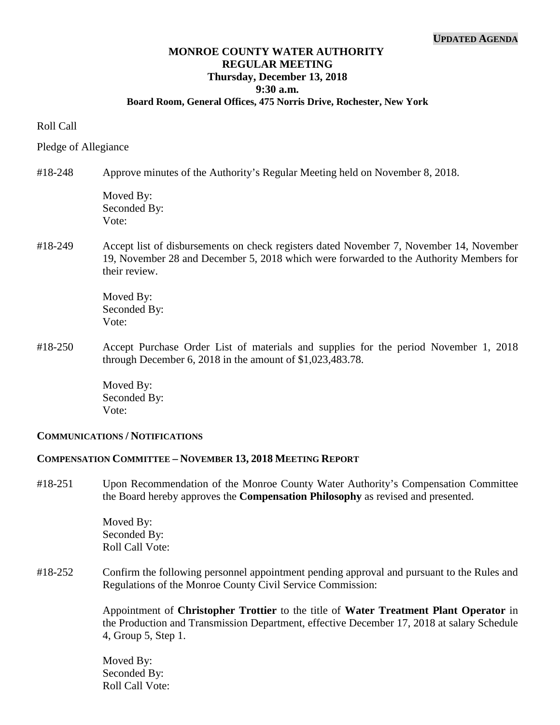# **MONROE COUNTY WATER AUTHORITY REGULAR MEETING Thursday, December 13, 2018 9:30 a.m.**

## **Board Room, General Offices, 475 Norris Drive, Rochester, New York**

#### Roll Call

Pledge of Allegiance

#### #18-248 Approve minutes of the Authority's Regular Meeting held on November 8, 2018.

Moved By: Seconded By: Vote:

## #18-249 Accept list of disbursements on check registers dated November 7, November 14, November 19, November 28 and December 5, 2018 which were forwarded to the Authority Members for their review.

Moved By: Seconded By: Vote:

#18-250 Accept Purchase Order List of materials and supplies for the period November 1, 2018 through December 6, 2018 in the amount of \$1,023,483.78.

> Moved By: Seconded By: Vote:

## **COMMUNICATIONS / NOTIFICATIONS**

#### **COMPENSATION COMMITTEE – NOVEMBER 13, 2018 MEETING REPORT**

#18-251 Upon Recommendation of the Monroe County Water Authority's Compensation Committee the Board hereby approves the **Compensation Philosophy** as revised and presented.

> Moved By: Seconded By: Roll Call Vote:

#18-252 Confirm the following personnel appointment pending approval and pursuant to the Rules and Regulations of the Monroe County Civil Service Commission:

> Appointment of **Christopher Trottier** to the title of **Water Treatment Plant Operator** in the Production and Transmission Department, effective December 17, 2018 at salary Schedule 4, Group 5, Step 1.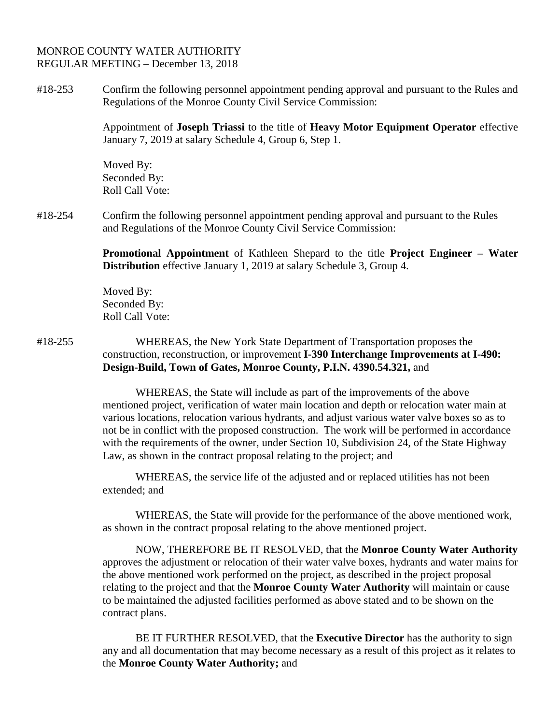#18-253 Confirm the following personnel appointment pending approval and pursuant to the Rules and Regulations of the Monroe County Civil Service Commission:

> Appointment of **Joseph Triassi** to the title of **Heavy Motor Equipment Operator** effective January 7, 2019 at salary Schedule 4, Group 6, Step 1.

Moved By: Seconded By: Roll Call Vote:

#18-254 Confirm the following personnel appointment pending approval and pursuant to the Rules and Regulations of the Monroe County Civil Service Commission:

> **Promotional Appointment** of Kathleen Shepard to the title **Project Engineer – Water Distribution** effective January 1, 2019 at salary Schedule 3, Group 4.

Moved By: Seconded By: Roll Call Vote:

#18-255 WHEREAS, the New York State Department of Transportation proposes the construction, reconstruction, or improvement **I-390 Interchange Improvements at I-490: Design-Build, Town of Gates, Monroe County, P.I.N. 4390.54.321,** and

> WHEREAS, the State will include as part of the improvements of the above mentioned project, verification of water main location and depth or relocation water main at various locations, relocation various hydrants, and adjust various water valve boxes so as to not be in conflict with the proposed construction. The work will be performed in accordance with the requirements of the owner, under Section 10, Subdivision 24, of the State Highway Law, as shown in the contract proposal relating to the project; and

WHEREAS, the service life of the adjusted and or replaced utilities has not been extended; and

WHEREAS, the State will provide for the performance of the above mentioned work, as shown in the contract proposal relating to the above mentioned project.

NOW, THEREFORE BE IT RESOLVED, that the **Monroe County Water Authority**  approves the adjustment or relocation of their water valve boxes, hydrants and water mains for the above mentioned work performed on the project, as described in the project proposal relating to the project and that the **Monroe County Water Authority** will maintain or cause to be maintained the adjusted facilities performed as above stated and to be shown on the contract plans.

BE IT FURTHER RESOLVED, that the **Executive Director** has the authority to sign any and all documentation that may become necessary as a result of this project as it relates to the **Monroe County Water Authority;** and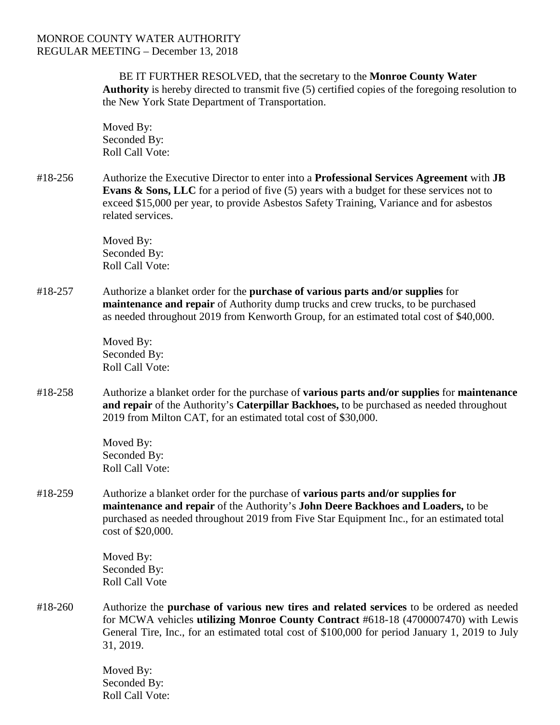BE IT FURTHER RESOLVED, that the secretary to the **Monroe County Water Authority** is hereby directed to transmit five (5) certified copies of the foregoing resolution to the New York State Department of Transportation.

Moved By: Seconded By: Roll Call Vote:

#18-256 Authorize the Executive Director to enter into a **Professional Services Agreement** with **JB Evans & Sons, LLC** for a period of five (5) years with a budget for these services not to exceed \$15,000 per year, to provide Asbestos Safety Training, Variance and for asbestos related services.

> Moved By: Seconded By: Roll Call Vote:

#18-257 Authorize a blanket order for the **purchase of various parts and/or supplies** for **maintenance and repair** of Authority dump trucks and crew trucks, to be purchased as needed throughout 2019 from Kenworth Group, for an estimated total cost of \$40,000.

> Moved By: Seconded By: Roll Call Vote:

#18-258 Authorize a blanket order for the purchase of **various parts and/or supplies** for **maintenance and repair** of the Authority's **Caterpillar Backhoes,** to be purchased as needed throughout 2019 from Milton CAT, for an estimated total cost of \$30,000.

> Moved By: Seconded By: Roll Call Vote:

#18-259 Authorize a blanket order for the purchase of **various parts and/or supplies for maintenance and repair** of the Authority's **John Deere Backhoes and Loaders,** to be purchased as needed throughout 2019 from Five Star Equipment Inc., for an estimated total cost of \$20,000.

> Moved By: Seconded By: Roll Call Vote

#18-260 Authorize the **purchase of various new tires and related services** to be ordered as needed for MCWA vehicles **utilizing Monroe County Contract** #618-18 (4700007470) with Lewis General Tire, Inc., for an estimated total cost of \$100,000 for period January 1, 2019 to July 31, 2019.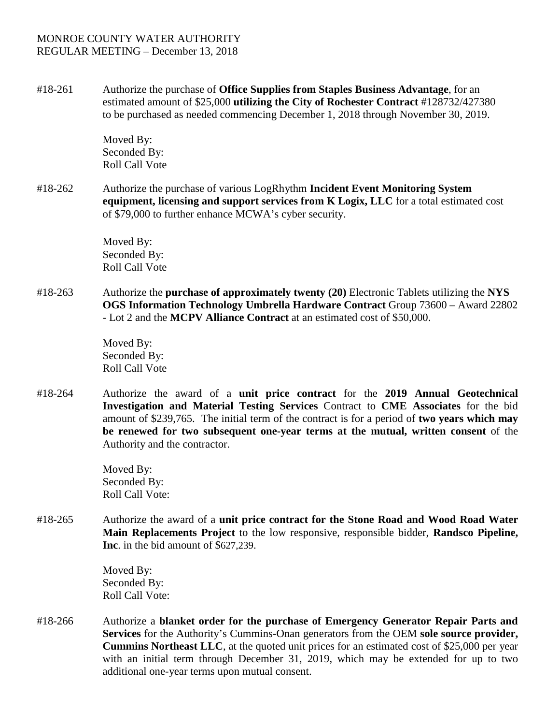#18-261 Authorize the purchase of **Office Supplies from Staples Business Advantage**, for an estimated amount of \$25,000 **utilizing the City of Rochester Contract** #128732/427380 to be purchased as needed commencing December 1, 2018 through November 30, 2019.

> Moved By: Seconded By: Roll Call Vote

#18-262 Authorize the purchase of various LogRhythm **Incident Event Monitoring System equipment, licensing and support services from K Logix, LLC** for a total estimated cost of \$79,000 to further enhance MCWA's cyber security.

> Moved By: Seconded By: Roll Call Vote

#18-263 Authorize the **purchase of approximately twenty (20)** Electronic Tablets utilizing the **NYS OGS Information Technology Umbrella Hardware Contract** Group 73600 – Award 22802 - Lot 2 and the **MCPV Alliance Contract** at an estimated cost of \$50,000.

> Moved By: Seconded By: Roll Call Vote

#18-264 Authorize the award of a **unit price contract** for the **2019 Annual Geotechnical Investigation and Material Testing Services** Contract to **CME Associates** for the bid amount of \$239,765. The initial term of the contract is for a period of **two years which may be renewed for two subsequent one-year terms at the mutual, written consent** of the Authority and the contractor.

> Moved By: Seconded By: Roll Call Vote:

#18-265 Authorize the award of a **unit price contract for the Stone Road and Wood Road Water Main Replacements Project** to the low responsive, responsible bidder, **Randsco Pipeline, Inc**. in the bid amount of \$627,239.

> Moved By: Seconded By: Roll Call Vote:

#18-266 Authorize a **blanket order for the purchase of Emergency Generator Repair Parts and Services** for the Authority's Cummins-Onan generators from the OEM **sole source provider, Cummins Northeast LLC**, at the quoted unit prices for an estimated cost of \$25,000 per year with an initial term through December 31, 2019, which may be extended for up to two additional one-year terms upon mutual consent.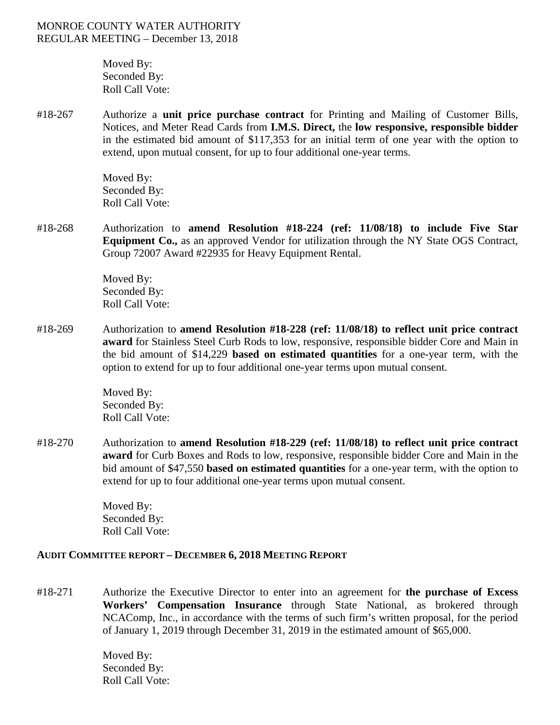Moved By: Seconded By: Roll Call Vote:

#18-267 Authorize a **unit price purchase contract** for Printing and Mailing of Customer Bills, Notices, and Meter Read Cards from **I.M.S. Direct,** the **low responsive, responsible bidder** in the estimated bid amount of \$117,353 for an initial term of one year with the option to extend, upon mutual consent, for up to four additional one-year terms.

> Moved By: Seconded By: Roll Call Vote:

#18-268 Authorization to **amend Resolution #18-224 (ref: 11/08/18) to include Five Star Equipment Co.,** as an approved Vendor for utilization through the NY State OGS Contract, Group 72007 Award #22935 for Heavy Equipment Rental.

> Moved By: Seconded By: Roll Call Vote:

#18-269 Authorization to **amend Resolution #18-228 (ref: 11/08/18) to reflect unit price contract award** for Stainless Steel Curb Rods to low, responsive, responsible bidder Core and Main in the bid amount of \$14,229 **based on estimated quantities** for a one-year term, with the option to extend for up to four additional one-year terms upon mutual consent.

> Moved By: Seconded By: Roll Call Vote:

#18-270 Authorization to **amend Resolution #18-229 (ref: 11/08/18) to reflect unit price contract award** for Curb Boxes and Rods to low, responsive, responsible bidder Core and Main in the bid amount of \$47,550 **based on estimated quantities** for a one-year term, with the option to extend for up to four additional one-year terms upon mutual consent.

> Moved By: Seconded By: Roll Call Vote:

## **AUDIT COMMITTEE REPORT – DECEMBER 6, 2018 MEETING REPORT**

#18-271 Authorize the Executive Director to enter into an agreement for **the purchase of Excess Workers' Compensation Insurance** through State National, as brokered through NCAComp, Inc., in accordance with the terms of such firm's written proposal, for the period of January 1, 2019 through December 31, 2019 in the estimated amount of \$65,000.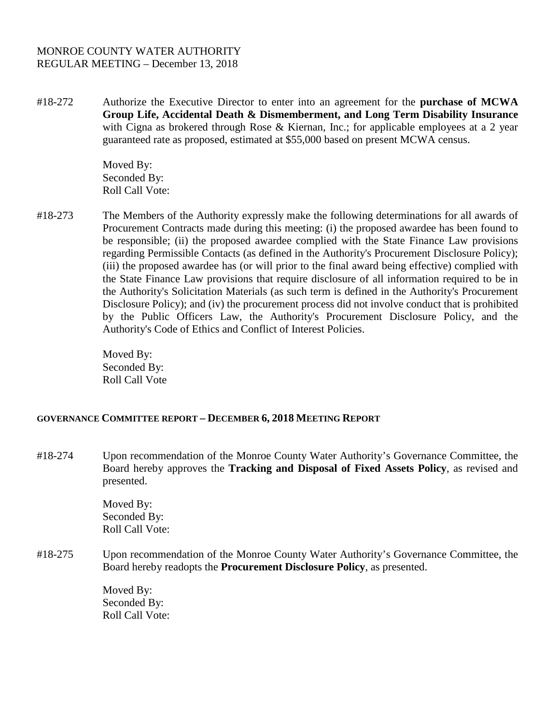#18-272 Authorize the Executive Director to enter into an agreement for the **purchase of MCWA Group Life, Accidental Death & Dismemberment, and Long Term Disability Insurance** with Cigna as brokered through Rose & Kiernan, Inc.; for applicable employees at a 2 year guaranteed rate as proposed, estimated at \$55,000 based on present MCWA census.

> Moved By: Seconded By: Roll Call Vote:

#18-273 The Members of the Authority expressly make the following determinations for all awards of Procurement Contracts made during this meeting: (i) the proposed awardee has been found to be responsible; (ii) the proposed awardee complied with the State Finance Law provisions regarding Permissible Contacts (as defined in the Authority's Procurement Disclosure Policy); (iii) the proposed awardee has (or will prior to the final award being effective) complied with the State Finance Law provisions that require disclosure of all information required to be in the Authority's Solicitation Materials (as such term is defined in the Authority's Procurement Disclosure Policy); and (iv) the procurement process did not involve conduct that is prohibited by the Public Officers Law, the Authority's Procurement Disclosure Policy, and the Authority's Code of Ethics and Conflict of Interest Policies.

> Moved By: Seconded By: Roll Call Vote

## **GOVERNANCE COMMITTEE REPORT – DECEMBER 6, 2018 MEETING REPORT**

#18-274 Upon recommendation of the Monroe County Water Authority's Governance Committee, the Board hereby approves the **Tracking and Disposal of Fixed Assets Policy**, as revised and presented.

> Moved By: Seconded By: Roll Call Vote:

#18-275 Upon recommendation of the Monroe County Water Authority's Governance Committee, the Board hereby readopts the **Procurement Disclosure Policy**, as presented.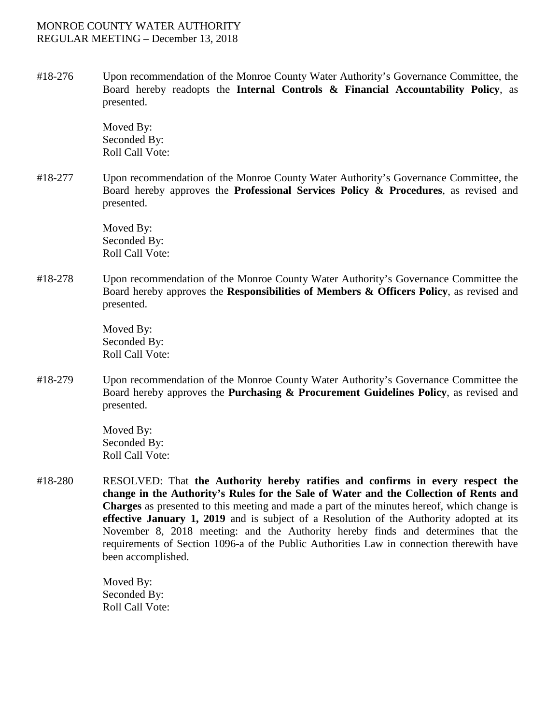#18-276 Upon recommendation of the Monroe County Water Authority's Governance Committee, the Board hereby readopts the **Internal Controls & Financial Accountability Policy**, as presented.

> Moved By: Seconded By: Roll Call Vote:

#18-277 Upon recommendation of the Monroe County Water Authority's Governance Committee, the Board hereby approves the **Professional Services Policy & Procedures**, as revised and presented.

> Moved By: Seconded By: Roll Call Vote:

#18-278 Upon recommendation of the Monroe County Water Authority's Governance Committee the Board hereby approves the **Responsibilities of Members & Officers Policy**, as revised and presented.

> Moved By: Seconded By: Roll Call Vote:

#18-279 Upon recommendation of the Monroe County Water Authority's Governance Committee the Board hereby approves the **Purchasing & Procurement Guidelines Policy**, as revised and presented.

> Moved By: Seconded By: Roll Call Vote:

#18-280 RESOLVED: That **the Authority hereby ratifies and confirms in every respect the change in the Authority's Rules for the Sale of Water and the Collection of Rents and Charges** as presented to this meeting and made a part of the minutes hereof, which change is **effective January 1, 2019** and is subject of a Resolution of the Authority adopted at its November 8, 2018 meeting: and the Authority hereby finds and determines that the requirements of Section 1096-a of the Public Authorities Law in connection therewith have been accomplished.